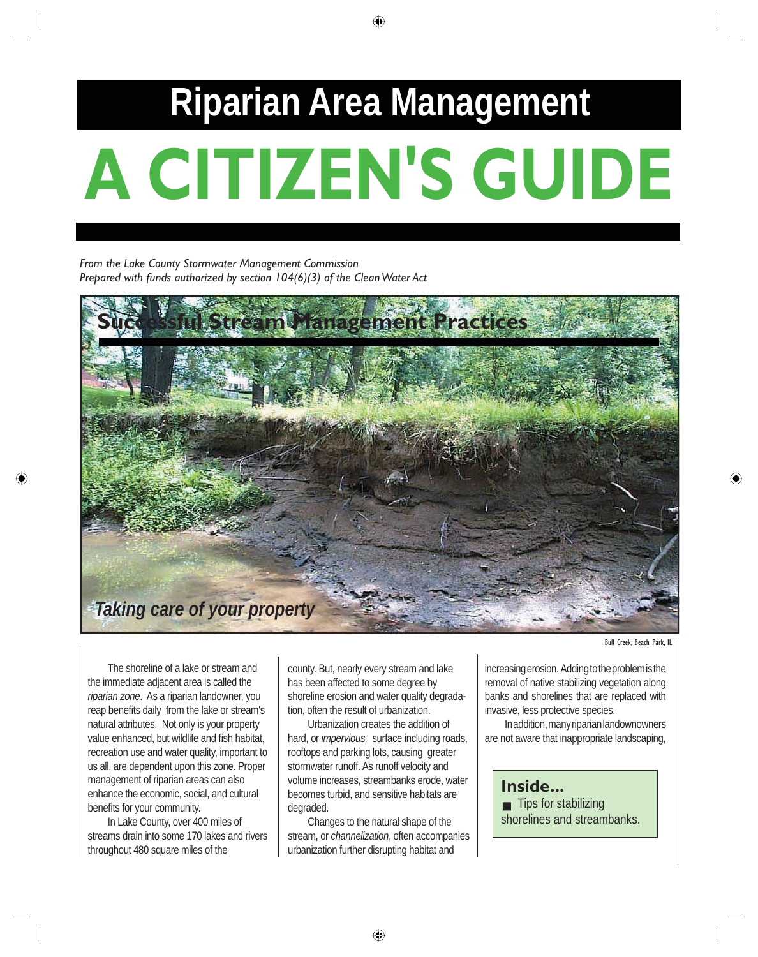# **A CITIZEN'S GUIDE Riparian Area Management**

*From the Lake County Stormwater Management Commission Prepared with funds authorized by section 104(6)(3) of the Clean Water Act*



Bull Creek, Beach Park, IL

The shoreline of a lake or stream and the immediate adjacent area is called the *riparian zone*. As a riparian landowner, you reap benefits daily from the lake or stream's natural attributes. Not only is your property value enhanced, but wildlife and fish habitat. recreation use and water quality, important to us all, are dependent upon this zone. Proper management of riparian areas can also enhance the economic, social, and cultural benefits for your community.

 In Lake County, over 400 miles of streams drain into some 170 lakes and rivers throughout 480 square miles of the

county. But, nearly every stream and lake has been affected to some degree by shoreline erosion and water quality degradation, often the result of urbanization.

 Urbanization creates the addition of hard, or *impervious,* surface including roads, rooftops and parking lots, causing greater stormwater runoff. As runoff velocity and volume increases, streambanks erode, water becomes turbid, and sensitive habitats are degraded.

 Changes to the natural shape of the stream, or *channelization*, often accompanies urbanization further disrupting habitat and

increasing erosion. Adding to the problem is the removal of native stabilizing vegetation along banks and shorelines that are replaced with invasive, less protective species.

 In addition, many riparian landownowners are not aware that inappropriate landscaping,

**Inside...** ■ Tips for stabilizing shorelines and streambanks.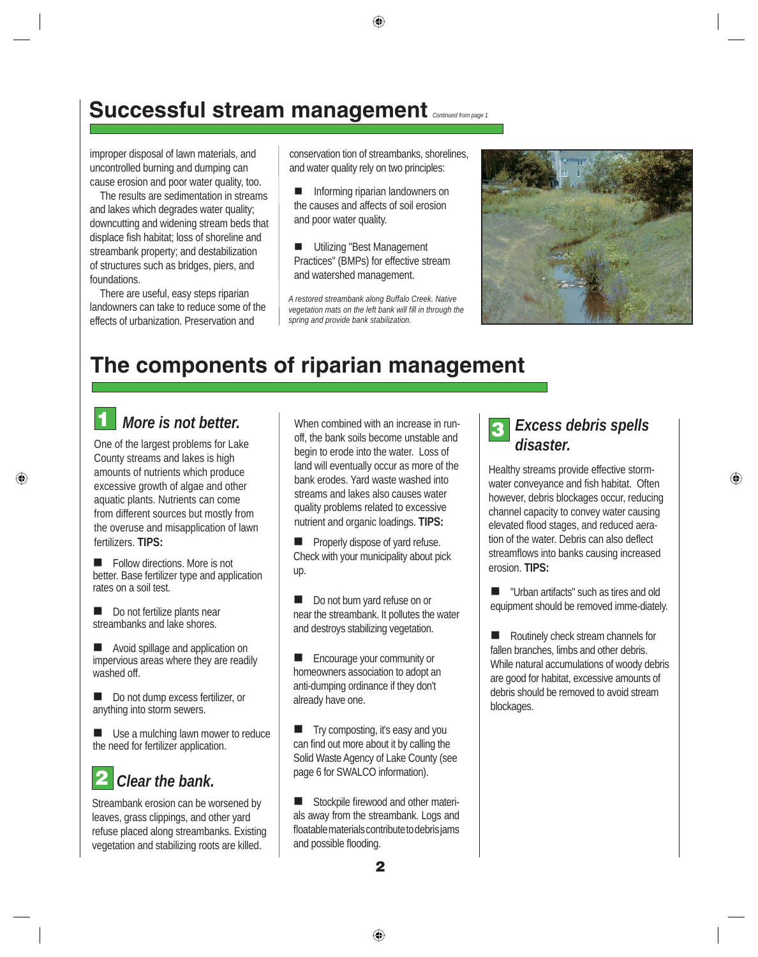## **Successful stream management** *Continued from page 1*

improper disposal of lawn materials, and uncontrolled burning and dumping can cause erosion and poor water quality, too.

 The results are sedimentation in streams and lakes which degrades water quality; downcutting and widening stream beds that displace fish habitat; loss of shoreline and streambank property; and destabilization of structures such as bridges, piers, and foundations.

There are useful, easy steps riparian landowners can take to reduce some of the effects of urbanization. Preservation and

conservation tion of streambanks, shorelines, and water quality rely on two principles:

- **n** Informing riparian landowners on the causes and affects of soil erosion and poor water quality.
- Utilizing "Best Management Practices" (BMPs) for effective stream and watershed management.

*A restored streambank along Buffalo Creek. Native*  vegetation mats on the left bank will fill in through the *spring and provide bank stabilization.* 



## **The components of riparian management**

#### **1** *More is not better.*

One of the largest problems for Lake County streams and lakes is high amounts of nutrients which produce excessive growth of algae and other aquatic plants. Nutrients can come from different sources but mostly from the overuse and misapplication of lawn fertilizers. **TIPS:**

 $\blacksquare$  Follow directions. More is not better. Base fertilizer type and application rates on a soil test.

Do not fertilize plants near streambanks and lake shores.

Avoid spillage and application on impervious areas where they are readily washed off.

Do not dump excess fertilizer, or anything into storm sewers.

Use a mulching lawn mower to reduce the need for fertilizer application.

# **2** *Clear the bank.*

Streambank erosion can be worsened by leaves, grass clippings, and other yard refuse placed along streambanks. Existing vegetation and stabilizing roots are killed.

When combined with an increase in runoff, the bank soils become unstable and begin to erode into the water. Loss of land will eventually occur as more of the bank erodes. Yard waste washed into streams and lakes also causes water quality problems related to excessive nutrient and organic loadings. **TIPS:**

 $\blacksquare$  Properly dispose of yard refuse. Check with your municipality about pick up.

Do not burn yard refuse on or near the streambank. It pollutes the water and destroys stabilizing vegetation.

 $\blacksquare$  Encourage your community or homeowners association to adopt an anti-dumping ordinance if they don't already have one.

 $\blacksquare$  Try composting, it's easy and you can find out more about it by calling the Solid Waste Agency of Lake County (see page 6 for SWALCO information).

■ Stockpile firewood and other materials away from the streambank. Logs and floatable materials contribute to debris jams and possible flooding.

## **3** *Excess debris spells disaster.*

Healthy streams provide effective stormwater conveyance and fish habitat. Often however, debris blockages occur, reducing channel capacity to convey water causing elevated flood stages, and reduced aeration of the water. Debris can also deflect streamflows into banks causing increased erosion. **TIPS:** 

 $\blacksquare$  "Urban artifacts" such as tires and old equipment should be removed imme-diately.

Routinely check stream channels for fallen branches, limbs and other debris. While natural accumulations of woody debris are good for habitat, excessive amounts of debris should be removed to avoid stream blockages.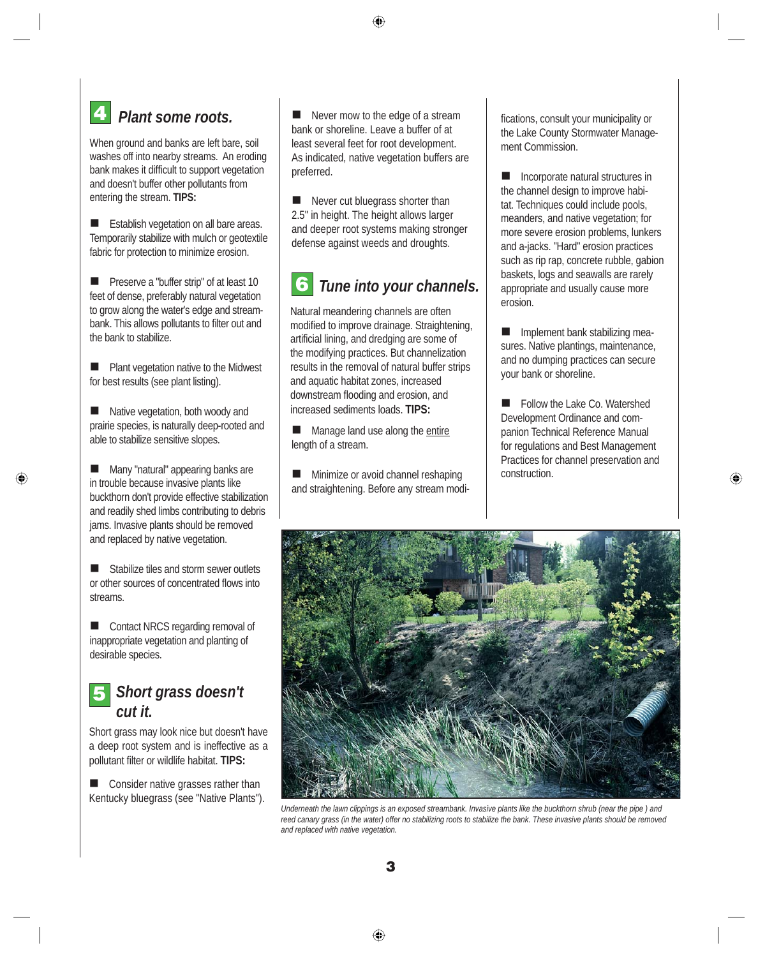## *Plant some roots.* **4**

When ground and banks are left bare, soil washes off into nearby streams. An eroding bank makes it difficult to support vegetation and doesn't buffer other pollutants from entering the stream. **TIPS:**

Establish vegetation on all bare areas. Temporarily stabilize with mulch or geotextile fabric for protection to minimize erosion.

**n** Preserve a "buffer strip" of at least 10 feet of dense, preferably natural vegetation to grow along the water's edge and streambank. This allows pollutants to filter out and the bank to stabilize.

n Plant vegetation native to the Midwest for best results (see plant listing).

Native vegetation, both woody and prairie species, is naturally deep-rooted and able to stabilize sensitive slopes.

Many "natural" appearing banks are in trouble because invasive plants like buckthorn don't provide effective stabilization and readily shed limbs contributing to debris jams. Invasive plants should be removed and replaced by native vegetation.

Stabilize tiles and storm sewer outlets or other sources of concentrated flows into streams.

■ Contact NRCS regarding removal of inappropriate vegetation and planting of desirable species.

## **5** *Short grass doesn't cut it.*

Short grass may look nice but doesn't have a deep root system and is ineffective as a pollutant filter or wildlife habitat. TIPS:

 $\Box$  Consider native grasses rather than Kentucky bluegrass (see "Native Plants").

 $\blacksquare$  Never mow to the edge of a stream bank or shoreline. Leave a buffer of at least several feet for root development. As indicated, native vegetation buffers are preferred.

Never cut bluegrass shorter than 2.5" in height. The height allows larger and deeper root systems making stronger defense against weeds and droughts.

#### **6** *Tune into your channels.*

Natural meandering channels are often modified to improve drainage. Straightening, artificial lining, and dredging are some of the modifying practices. But channelization results in the removal of natural buffer strips and aquatic habitat zones, increased downstream flooding and erosion, and increased sediments loads. **TIPS:**

Manage land use along the entire length of a stream.

Minimize or avoid channel reshaping and straightening. Before any stream modifications, consult your municipality or the Lake County Stormwater Management Commission.

Incorporate natural structures in the channel design to improve habitat. Techniques could include pools, meanders, and native vegetation; for more severe erosion problems, lunkers and a-jacks. "Hard" erosion practices such as rip rap, concrete rubble, gabion baskets, logs and seawalls are rarely appropriate and usually cause more erosion.

Implement bank stabilizing measures. Native plantings, maintenance, and no dumping practices can secure your bank or shoreline.

■ Follow the Lake Co. Watershed Development Ordinance and companion Technical Reference Manual for regulations and Best Management Practices for channel preservation and construction.



*Underneath the lawn clippings is an exposed streambank. Invasive plants like the buckthorn shrub (near the pipe ) and reed canary grass (in the water) offer no stabilizing roots to stabilize the bank. These invasive plants should be removed and replaced with native vegetation.*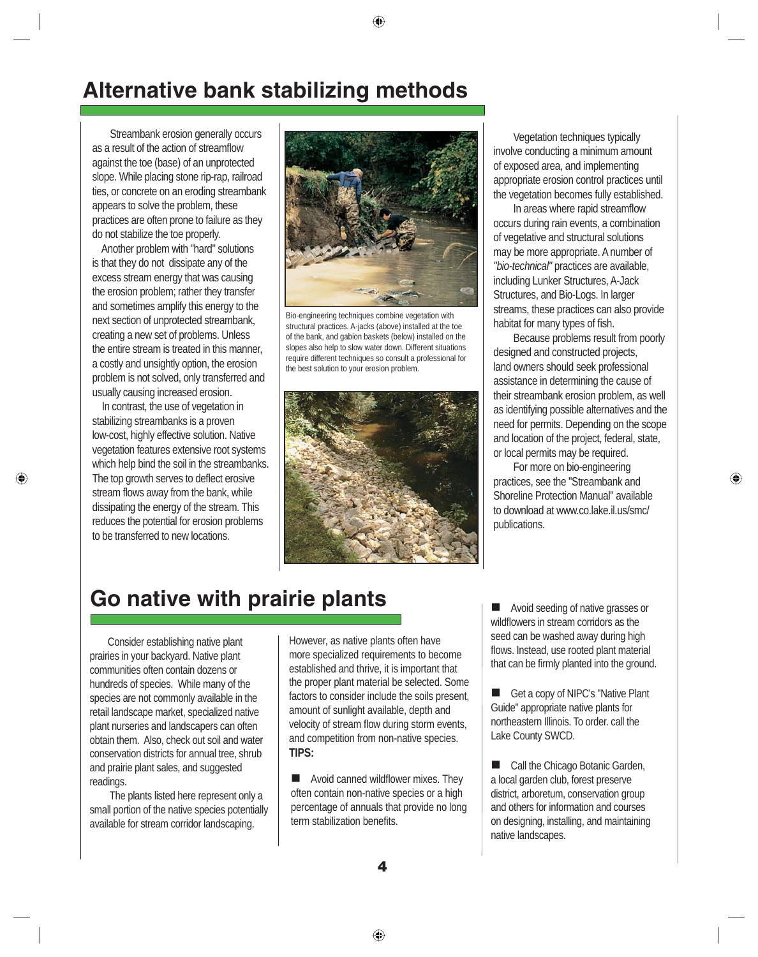## **Alternative bank stabilizing methods**

 Streambank erosion generally occurs as a result of the action of streamflow against the toe (base) of an unprotected slope. While placing stone rip-rap, railroad ties, or concrete on an eroding streambank appears to solve the problem, these practices are often prone to failure as they do not stabilize the toe properly.

 Another problem with "hard" solutions is that they do not dissipate any of the excess stream energy that was causing the erosion problem; rather they transfer and sometimes amplify this energy to the next section of unprotected streambank, creating a new set of problems. Unless the entire stream is treated in this manner, a costly and unsightly option, the erosion problem is not solved, only transferred and usually causing increased erosion.

 In contrast, the use of vegetation in stabilizing streambanks is a proven low-cost, highly effective solution. Native vegetation features extensive root systems which help bind the soil in the streambanks. The top growth serves to deflect erosive stream flows away from the bank, while dissipating the energy of the stream. This reduces the potential for erosion problems to be transferred to new locations.



Bio-engineering techniques combine vegetation with structural practices. A-jacks (above) installed at the toe of the bank, and gabion baskets (below) installed on the slopes also help to slow water down. Different situations require different techniques so consult a professional for the best solution to your erosion problem.



Vegetation techniques typically involve conducting a minimum amount of exposed area, and implementing appropriate erosion control practices until the vegetation becomes fully established.

In areas where rapid streamflow occurs during rain events, a combination of vegetative and structural solutions may be more appropriate. A number of *"bio-technical"* practices are available, including Lunker Structures, A-Jack Structures, and Bio-Logs. In larger streams, these practices can also provide habitat for many types of fish.

 Because problems result from poorly designed and constructed projects, land owners should seek professional assistance in determining the cause of their streambank erosion problem, as well as identifying possible alternatives and the need for permits. Depending on the scope and location of the project, federal, state, or local permits may be required.

 For more on bio-engineering practices, see the "Streambank and Shoreline Protection Manual" available to download at www.co.lake.il.us/smc/ publications.

## **Go native with prairie plants**

 Consider establishing native plant prairies in your backyard. Native plant communities often contain dozens or hundreds of species. While many of the species are not commonly available in the retail landscape market, specialized native plant nurseries and landscapers can often obtain them. Also, check out soil and water conservation districts for annual tree, shrub and prairie plant sales, and suggested readings.

 The plants listed here represent only a small portion of the native species potentially available for stream corridor landscaping.

However, as native plants often have more specialized requirements to become established and thrive, it is important that the proper plant material be selected. Some factors to consider include the soils present, amount of sunlight available, depth and velocity of stream flow during storm events, and competition from non-native species. **TIPS:**

 $\blacksquare$  Avoid canned wildflower mixes. They often contain non-native species or a high percentage of annuals that provide no long term stabilization benefits.

■ Avoid seeding of native grasses or wildflowers in stream corridors as the seed can be washed away during high flows. Instead, use rooted plant material that can be firmly planted into the ground.

Get a copy of NIPC's "Native Plant" Guide" appropriate native plants for northeastern Illinois. To order. call the Lake County SWCD.

■ Call the Chicago Botanic Garden, a local garden club, forest preserve district, arboretum, conservation group and others for information and courses on designing, installing, and maintaining native landscapes.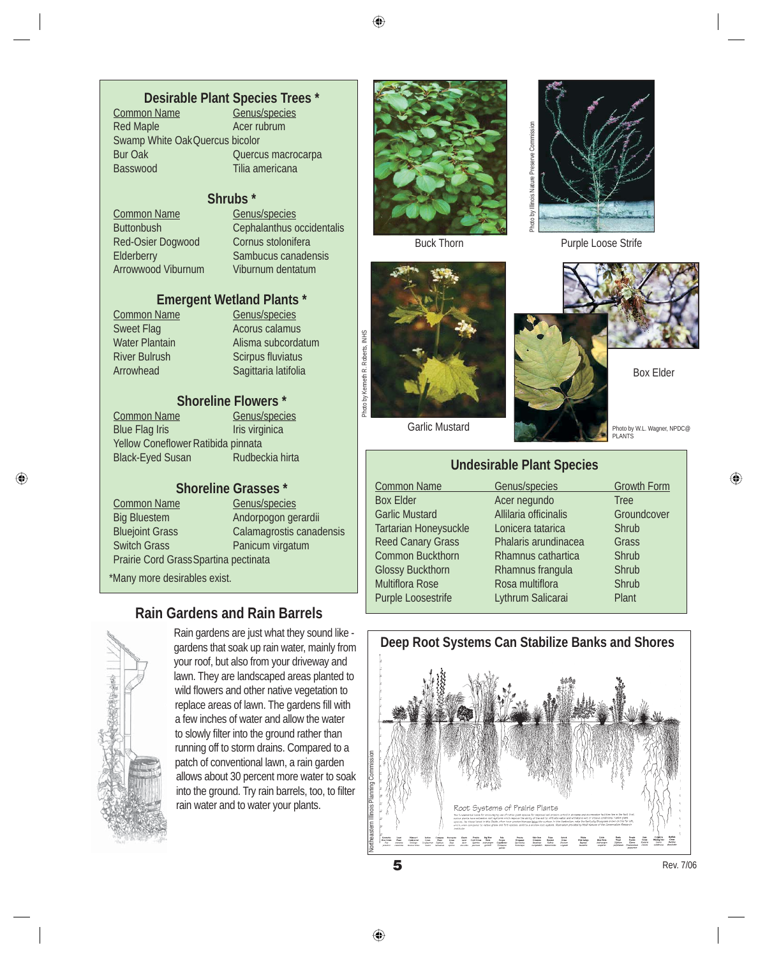# **Desirable Plant Species Trees \***

Common Name<br>Red Maple Acer rubrum Swamp White Oak Quercus bicolor Bur Oak Quercus macrocarpa Basswood Tilia americana

**Shrubs \***

Common Name Genus/species Red-Osier Dogwood Cornus stolonifera Arrowwood Viburnum Viburnum dentatum

Buttonbush Cephalanthus occidentalis Elderberry Sambucus canadensis

#### **Emergent Wetland Plants \***

Common Name Genus/species Sweet Flag **Acorus calamus**<br>
Water Plantain **Alisma** subcorda River Bulrush Scirpus fluviatus Arrowhead Sagittaria latifolia

Alisma subcordatum

#### **Shoreline Flowers \***

Common Name Genus/species Blue Flag Iris **Iris** Iris virginica Yellow Coneflower Ratibida pinnata Black-Eyed Susan Rudbeckia hirta

# **Shoreline Grasses \***

Common Name Prairie Cord Grass Spartina pectinata

Big Bluestem Andorpogon gerardii Bluejoint Grass Calamagrostis canadensis<br>
Switch Grass Canadensis<br>
Panicum virgatum Panicum virgatum

\*Many more desirables exist.

#### **Rain Gardens and Rain Barrels**



Rain gardens are just what they sound like gardens that soak up rain water, mainly from your roof, but also from your driveway and lawn. They are landscaped areas planted to wild flowers and other native vegetation to replace areas of lawn. The gardens fill with a few inches of water and allow the water to slowly filter into the ground rather than running off to storm drains. Compared to a patch of conventional lawn, a rain garden allows about 30 percent more water to soak into the ground. Try rain barrels, too, to filter rain water and to water your plants.





Purple Loose Striff<br>
Buck Thom<br>
Carlie Mustard<br>
Carlie Mustard<br>
Carlie Mustard<br>
Carlie Mustard<br>
Carlie Mustard<br>
Carlie Mustard<br>
Acer negundo Tree<br>
Read Canary Grass<br>
Read Canary Grass<br>
Common Buckthorn<br>
Rhammus catarica Co



**PLANTS** 

Box Elder

Photo by W.L. Wagner, NPDC@

Garlic Mustard

Photo by Kenneth R. Roberts, INHS

Photo by Kenneth R. Roberts, INHS

#### **Undesirable Plant Species**

Common Name Genus/species Growth Form Box Elder **Acer negundo** Tree Garlic Mustard **Allilaria officinalis** Groundcover Tartarian Honeysuckle Lonicera tatarica Shrub<br>Reed Canary Grass Phalaris arundinacea Grass Reed Canary Grass Common Buckthorn Rhamnus cathartica Shrub Glossy Buckthorn Rhamnus frangula Shrub Multiflora Rose Rosa multiflora Rose Shrub